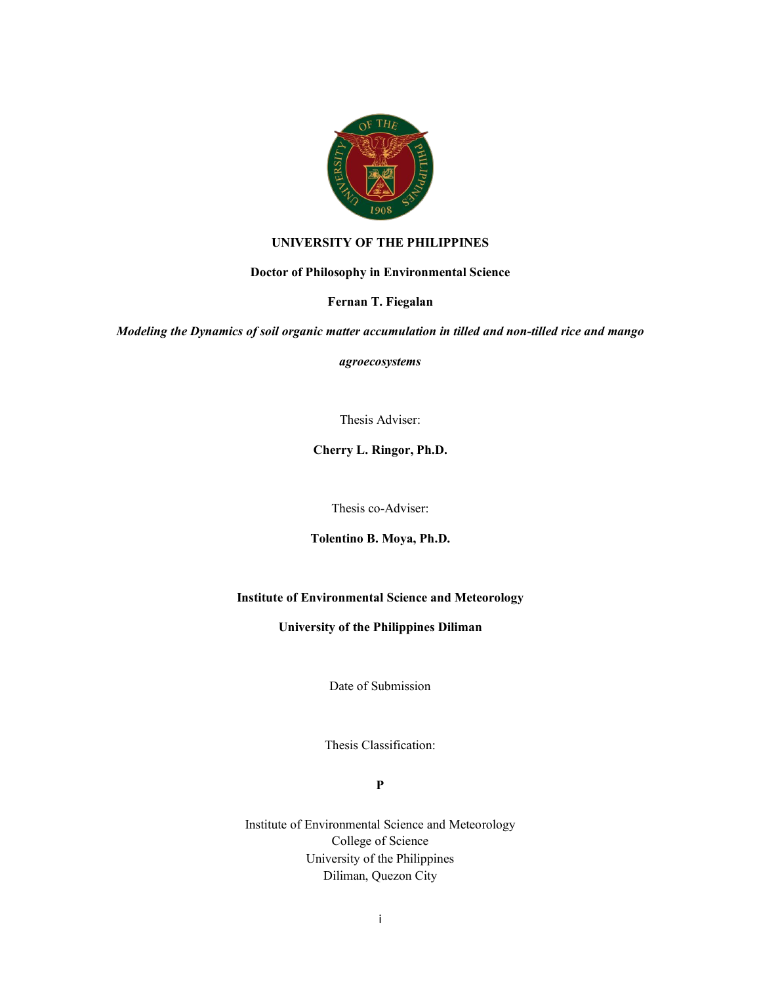

## **UNIVERSITY OF THE PHILIPPINES**

### **Doctor of Philosophy in Environmental Science**

## **Fernan T. Fiegalan**

*Modeling the Dynamics of soil organic matter accumulation in tilled and non-tilled rice and mango*

*agroecosystems*

Thesis Adviser:

**Cherry L. Ringor, Ph.D.**

Thesis co-Adviser:

**Tolentino B. Moya, Ph.D.**

# **Institute of Environmental Science and Meteorology**

## **University of the Philippines Diliman**

Date of Submission

Thesis Classification:

**P**

Institute of Environmental Science and Meteorology College of Science University of the Philippines Diliman, Quezon City